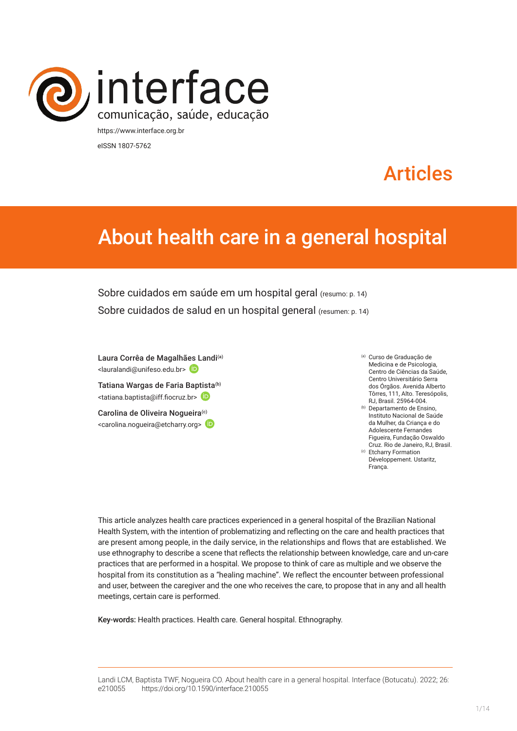

eISSN 1807-5762

# Articles

# About health care in a general hospital

Sobre cuidados em saúde em um hospital geral (resumo: p. 14) Sobre cuidados de salud en un hospital general (resumen: p. 14)

Laura Corrêa de Magalhã[es L](https://orcid.org/0000-0002-8407-7288)andi<sup>(a)</sup> <lauralandi@unifeso.edu.br>

Tatiana Wargas de Faria Ba[ptista](https://orcid.org/0000-0002-3445-2027)<sup>(b)</sup> <tatiana.baptista@iff.fiocruz.br>

Carolina de Oliveira Nogueira<sup>(c)</sup> <carolina.nogueira@etcharry.org>

- (a) Curso de Graduação de Medicina e de Psicologia, Centro de Ciências da Saúde, Centro Universitário Serra dos Órgãos. Avenida Alberto Tôrres, 111, Alto. Teresópolis, RJ, Brasil. 25964-004.
- (b) Departamento de Ensino, Instituto Nacional de Saúde da Mulher, da Criança e do Adolescente Fernandes Figueira, Fundação Oswaldo Cruz. Rio de Janeiro, RJ, Brasil. (c) Etcharry Formation Développement. Ustaritz,

França.

This article analyzes health care practices experienced in a general hospital of the Brazilian National Health System, with the intention of problematizing and reflecting on the care and health practices that are present among people, in the daily service, in the relationships and flows that are established. We use ethnography to describe a scene that reflects the relationship between knowledge, care and un-care practices that are performed in a hospital. We propose to think of care as multiple and we observe the hospital from its constitution as a "healing machine". We reflect the encounter between professional and user, between the caregiver and the one who receives the care, to propose that in any and all health meetings, certain care is performed.

Key-words: Health practices. Health care. General hospital. Ethnography.

Landi LCM, Baptista TWF, Nogueira CO. About health care in a general hospital. Interface (Botucatu). 2022; 26: e210055 [https://d](https://10.11606/S1518-787.201805200XXXX)oi.org/10.1590/interface.210055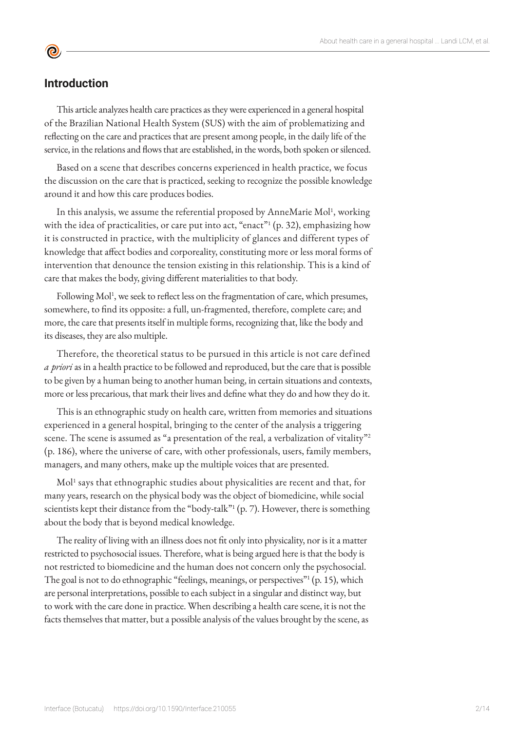# **Introduction**

 $\bullet$ 

This article analyzes health care practices as they were experienced in a general hospital of the Brazilian National Health System (SUS) with the aim of problematizing and reflecting on the care and practices that are present among people, in the daily life of the service, in the relations and flows that are established, in the words, both spoken or silenced.

Based on a scene that describes concerns experienced in health practice, we focus the discussion on the care that is practiced, seeking to recognize the possible knowledge around it and how this care produces bodies.

In this analysis, we assume the referential proposed by AnneMarie Mol<sup>1</sup>, working with the idea of practicalities, or care put into act, "enact"<sup>1</sup> (p. 32), emphasizing how it is constructed in practice, with the multiplicity of glances and different types of knowledge that affect bodies and corporeality, constituting more or less moral forms of intervention that denounce the tension existing in this relationship. This is a kind of care that makes the body, giving different materialities to that body.

Following Mol<sup>1</sup>, we seek to reflect less on the fragmentation of care, which presumes, somewhere, to find its opposite: a full, un-fragmented, therefore, complete care; and more, the care that presents itself in multiple forms, recognizing that, like the body and its diseases, they are also multiple.

Therefore, the theoretical status to be pursued in this article is not care defined *a priori* as in a health practice to be followed and reproduced, but the care that is possible to be given by a human being to another human being, in certain situations and contexts, more or less precarious, that mark their lives and define what they do and how they do it.

This is an ethnographic study on health care, written from memories and situations experienced in a general hospital, bringing to the center of the analysis a triggering scene. The scene is assumed as "a presentation of the real, a verbalization of vitality"<sup>2</sup> (p. 186), where the universe of care, with other professionals, users, family members, managers, and many others, make up the multiple voices that are presented.

Mol<sup>1</sup> says that ethnographic studies about physicalities are recent and that, for many years, research on the physical body was the object of biomedicine, while social scientists kept their distance from the "body-talk"<sup>1</sup> (p. 7). However, there is something about the body that is beyond medical knowledge.

The reality of living with an illness does not fit only into physicality, nor is it a matter restricted to psychosocial issues. Therefore, what is being argued here is that the body is not restricted to biomedicine and the human does not concern only the psychosocial. The goal is not to do ethnographic "feelings, meanings, or perspectives"<sup>1</sup> (p. 15), which are personal interpretations, possible to each subject in a singular and distinct way, but to work with the care done in practice. When describing a health care scene, it is not the facts themselves that matter, but a possible analysis of the values brought by the scene, as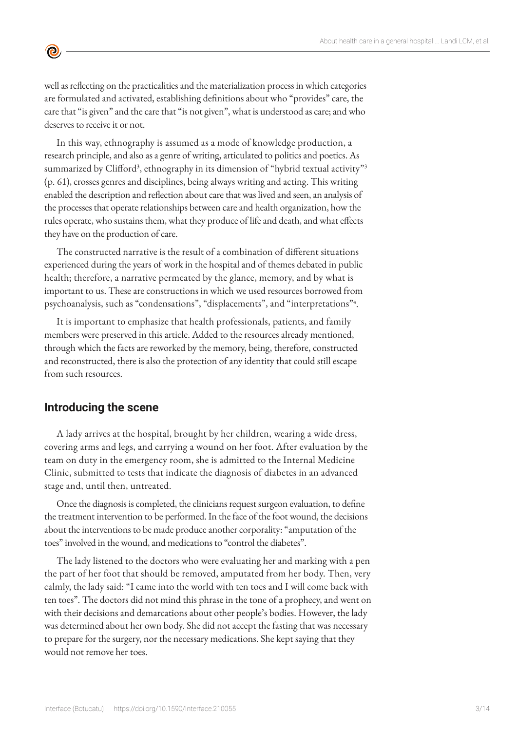well as reflecting on the practicalities and the materialization process in which categories are formulated and activated, establishing definitions about who "provides" care, the care that "is given" and the care that "is not given", what is understood as care; and who deserves to receive it or not.

In this way, ethnography is assumed as a mode of knowledge production, a research principle, and also as a genre of writing, articulated to politics and poetics. As summarized by Clifford<sup>3</sup>, ethnography in its dimension of "hybrid textual activity"<sup>3</sup> (p. 61), crosses genres and disciplines, being always writing and acting. This writing enabled the description and reflection about care that was lived and seen, an analysis of the processes that operate relationships between care and health organization, how the rules operate, who sustains them, what they produce of life and death, and what effects they have on the production of care.

The constructed narrative is the result of a combination of different situations experienced during the years of work in the hospital and of themes debated in public health; therefore, a narrative permeated by the glance, memory, and by what is important to us. These are constructions in which we used resources borrowed from psychoanalysis, such as "condensations", "displacements", and "interpretations"<sup>4</sup> .

It is important to emphasize that health professionals, patients, and family members were preserved in this article. Added to the resources already mentioned, through which the facts are reworked by the memory, being, therefore, constructed and reconstructed, there is also the protection of any identity that could still escape from such resources.

## **Introducing the scene**

 $\bullet$ 

A lady arrives at the hospital, brought by her children, wearing a wide dress, covering arms and legs, and carrying a wound on her foot. After evaluation by the team on duty in the emergency room, she is admitted to the Internal Medicine Clinic, submitted to tests that indicate the diagnosis of diabetes in an advanced stage and, until then, untreated.

Once the diagnosis is completed, the clinicians request surgeon evaluation, to define the treatment intervention to be performed. In the face of the foot wound, the decisions about the interventions to be made produce another corporality: "amputation of the toes" involved in the wound, and medications to "control the diabetes".

The lady listened to the doctors who were evaluating her and marking with a pen the part of her foot that should be removed, amputated from her body. Then, very calmly, the lady said: "I came into the world with ten toes and I will come back with ten toes". The doctors did not mind this phrase in the tone of a prophecy, and went on with their decisions and demarcations about other people's bodies. However, the lady was determined about her own body. She did not accept the fasting that was necessary to prepare for the surgery, nor the necessary medications. She kept saying that they would not remove her toes.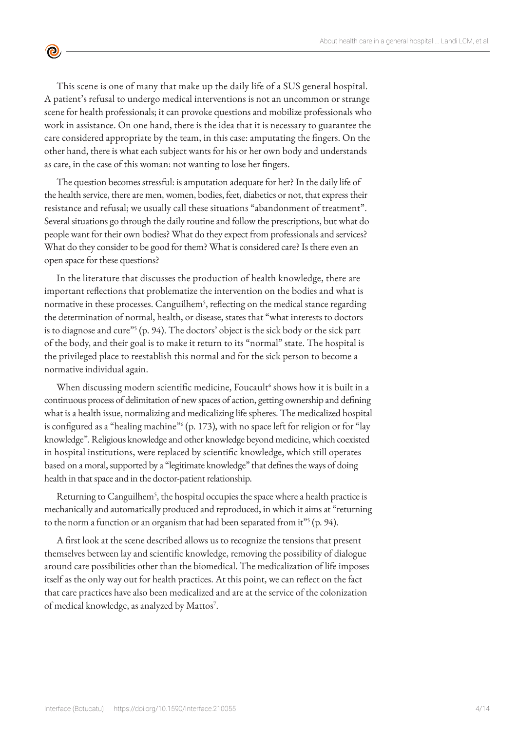This scene is one of many that make up the daily life of a SUS general hospital. A patient's refusal to undergo medical interventions is not an uncommon or strange scene for health professionals; it can provoke questions and mobilize professionals who work in assistance. On one hand, there is the idea that it is necessary to guarantee the care considered appropriate by the team, in this case: amputating the fingers. On the other hand, there is what each subject wants for his or her own body and understands as care, in the case of this woman: not wanting to lose her fingers.

 $\bullet$ 

The question becomes stressful: is amputation adequate for her? In the daily life of the health service, there are men, women, bodies, feet, diabetics or not, that express their resistance and refusal; we usually call these situations "abandonment of treatment". Several situations go through the daily routine and follow the prescriptions, but what do people want for their own bodies? What do they expect from professionals and services? What do they consider to be good for them? What is considered care? Is there even an open space for these questions?

In the literature that discusses the production of health knowledge, there are important reflections that problematize the intervention on the bodies and what is normative in these processes. Canguilhem<sup>5</sup>, reflecting on the medical stance regarding the determination of normal, health, or disease, states that "what interests to doctors is to diagnose and cure"5 (p. 94). The doctors' object is the sick body or the sick part of the body, and their goal is to make it return to its "normal" state. The hospital is the privileged place to reestablish this normal and for the sick person to become a normative individual again.

When discussing modern scientific medicine, Foucault<sup>6</sup> shows how it is built in a continuous process of delimitation of new spaces of action, getting ownership and defining what is a health issue, normalizing and medicalizing life spheres. The medicalized hospital is configured as a "healing machine"6 (p. 173), with no space left for religion or for "lay knowledge". Religious knowledge and other knowledge beyond medicine, which coexisted in hospital institutions, were replaced by scientific knowledge, which still operates based on a moral, supported by a "legitimate knowledge" that defines the ways of doing health in that space and in the doctor-patient relationship.

Returning to Canguilhem<sup>5</sup>, the hospital occupies the space where a health practice is mechanically and automatically produced and reproduced, in which it aims at "returning to the norm a function or an organism that had been separated from it"<sup>5</sup> (p. 94).

A first look at the scene described allows us to recognize the tensions that present themselves between lay and scientific knowledge, removing the possibility of dialogue around care possibilities other than the biomedical. The medicalization of life imposes itself as the only way out for health practices. At this point, we can reflect on the fact that care practices have also been medicalized and are at the service of the colonization of medical knowledge, as analyzed by Mattos<sup>7</sup>.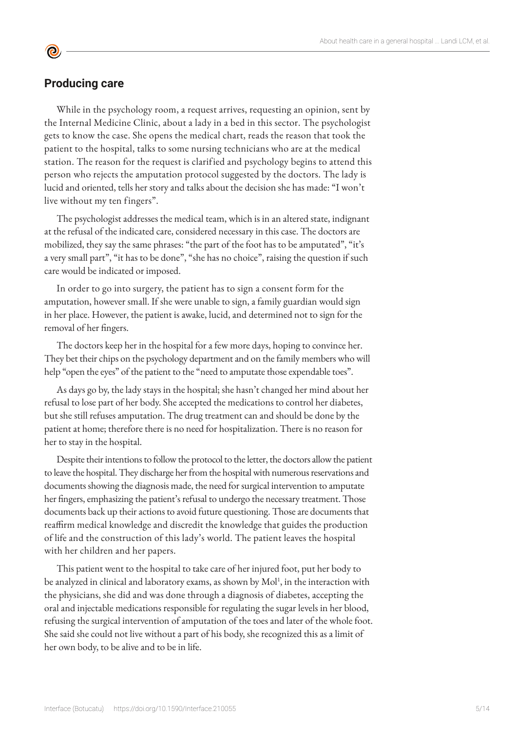## **Producing care**

<u>ල</u>

While in the psychology room, a request arrives, requesting an opinion, sent by the Internal Medicine Clinic, about a lady in a bed in this sector. The psychologist gets to know the case. She opens the medical chart, reads the reason that took the patient to the hospital, talks to some nursing technicians who are at the medical station. The reason for the request is clarified and psychology begins to attend this person who rejects the amputation protocol suggested by the doctors. The lady is lucid and oriented, tells her story and talks about the decision she has made: "I won't live without my ten fingers".

The psychologist addresses the medical team, which is in an altered state, indignant at the refusal of the indicated care, considered necessary in this case. The doctors are mobilized, they say the same phrases: "the part of the foot has to be amputated", "it's a very small part", "it has to be done", "she has no choice", raising the question if such care would be indicated or imposed.

In order to go into surgery, the patient has to sign a consent form for the amputation, however small. If she were unable to sign, a family guardian would sign in her place. However, the patient is awake, lucid, and determined not to sign for the removal of her fingers.

The doctors keep her in the hospital for a few more days, hoping to convince her. They bet their chips on the psychology department and on the family members who will help "open the eyes" of the patient to the "need to amputate those expendable toes".

As days go by, the lady stays in the hospital; she hasn't changed her mind about her refusal to lose part of her body. She accepted the medications to control her diabetes, but she still refuses amputation. The drug treatment can and should be done by the patient at home; therefore there is no need for hospitalization. There is no reason for her to stay in the hospital.

Despite their intentions to follow the protocol to the letter, the doctors allow the patient to leave the hospital. They discharge her from the hospital with numerous reservations and documents showing the diagnosis made, the need for surgical intervention to amputate her fingers, emphasizing the patient's refusal to undergo the necessary treatment. Those documents back up their actions to avoid future questioning. Those are documents that reaffirm medical knowledge and discredit the knowledge that guides the production of life and the construction of this lady's world. The patient leaves the hospital with her children and her papers.

This patient went to the hospital to take care of her injured foot, put her body to be analyzed in clinical and laboratory exams, as shown by Mol<sup>1</sup>, in the interaction with the physicians, she did and was done through a diagnosis of diabetes, accepting the oral and injectable medications responsible for regulating the sugar levels in her blood, refusing the surgical intervention of amputation of the toes and later of the whole foot. She said she could not live without a part of his body, she recognized this as a limit of her own body, to be alive and to be in life.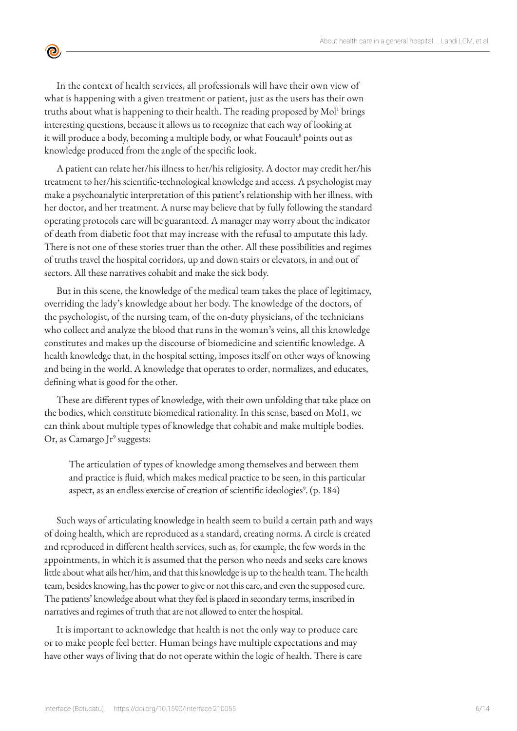In the context of health services, all professionals will have their own view of what is happening with a given treatment or patient, just as the users has their own truths about what is happening to their health. The reading proposed by Mol<sup>1</sup> brings interesting questions, because it allows us to recognize that each way of looking at it will produce a body, becoming a multiple body, or what Foucault<sup>8</sup> points out as knowledge produced from the angle of the specific look.

 $\bullet$ 

A patient can relate her/his illness to her/his religiosity. A doctor may credit her/his treatment to her/his scientific-technological knowledge and access. A psychologist may make a psychoanalytic interpretation of this patient's relationship with her illness, with her doctor, and her treatment. A nurse may believe that by fully following the standard operating protocols care will be guaranteed. A manager may worry about the indicator of death from diabetic foot that may increase with the refusal to amputate this lady. There is not one of these stories truer than the other. All these possibilities and regimes of truths travel the hospital corridors, up and down stairs or elevators, in and out of sectors. All these narratives cohabit and make the sick body.

But in this scene, the knowledge of the medical team takes the place of legitimacy, overriding the lady's knowledge about her body. The knowledge of the doctors, of the psychologist, of the nursing team, of the on-duty physicians, of the technicians who collect and analyze the blood that runs in the woman's veins, all this knowledge constitutes and makes up the discourse of biomedicine and scientific knowledge. A health knowledge that, in the hospital setting, imposes itself on other ways of knowing and being in the world. A knowledge that operates to order, normalizes, and educates, defining what is good for the other.

These are different types of knowledge, with their own unfolding that take place on the bodies, which constitute biomedical rationality. In this sense, based on Mol1, we can think about multiple types of knowledge that cohabit and make multiple bodies. Or, as Camargo Jr<sup>9</sup> suggests:

The articulation of types of knowledge among themselves and between them and practice is fluid, which makes medical practice to be seen, in this particular aspect, as an endless exercise of creation of scientific ideologies $^{\circ}$ . (p. 184)

Such ways of articulating knowledge in health seem to build a certain path and ways of doing health, which are reproduced as a standard, creating norms. A circle is created and reproduced in different health services, such as, for example, the few words in the appointments, in which it is assumed that the person who needs and seeks care knows little about what ails her/him, and that this knowledge is up to the health team. The health team, besides knowing, has the power to give or not this care, and even the supposed cure. The patients' knowledge about what they feel is placed in secondary terms, inscribed in narratives and regimes of truth that are not allowed to enter the hospital.

It is important to acknowledge that health is not the only way to produce care or to make people feel better. Human beings have multiple expectations and may have other ways of living that do not operate within the logic of health. There is care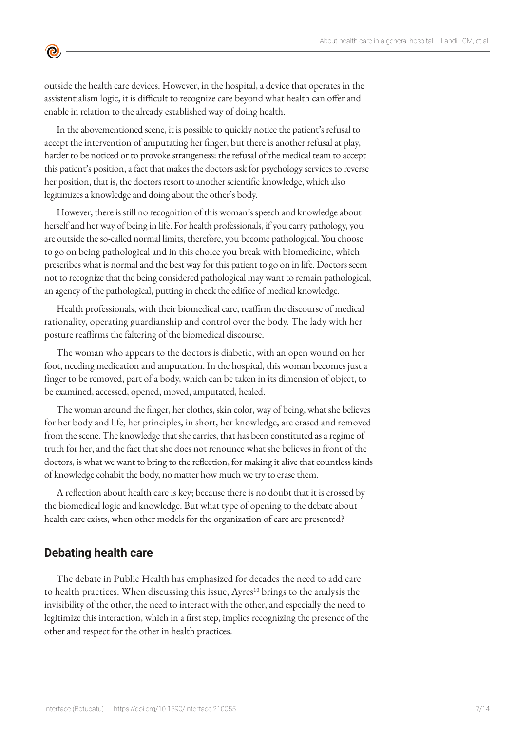outside the health care devices. However, in the hospital, a device that operates in the assistentialism logic, it is difficult to recognize care beyond what health can offer and enable in relation to the already established way of doing health.

In the abovementioned scene, it is possible to quickly notice the patient's refusal to accept the intervention of amputating her finger, but there is another refusal at play, harder to be noticed or to provoke strangeness: the refusal of the medical team to accept this patient's position, a fact that makes the doctors ask for psychology services to reverse her position, that is, the doctors resort to another scientific knowledge, which also legitimizes a knowledge and doing about the other's body.

However, there is still no recognition of this woman's speech and knowledge about herself and her way of being in life. For health professionals, if you carry pathology, you are outside the so-called normal limits, therefore, you become pathological. You choose to go on being pathological and in this choice you break with biomedicine, which prescribes what is normal and the best way for this patient to go on in life. Doctors seem not to recognize that the being considered pathological may want to remain pathological, an agency of the pathological, putting in check the edifice of medical knowledge.

Health professionals, with their biomedical care, reaffirm the discourse of medical rationality, operating guardianship and control over the body. The lady with her posture reaffirms the faltering of the biomedical discourse.

The woman who appears to the doctors is diabetic, with an open wound on her foot, needing medication and amputation. In the hospital, this woman becomes just a finger to be removed, part of a body, which can be taken in its dimension of object, to be examined, accessed, opened, moved, amputated, healed.

The woman around the finger, her clothes, skin color, way of being, what she believes for her body and life, her principles, in short, her knowledge, are erased and removed from the scene. The knowledge that she carries, that has been constituted as a regime of truth for her, and the fact that she does not renounce what she believes in front of the doctors, is what we want to bring to the reflection, for making it alive that countless kinds of knowledge cohabit the body, no matter how much we try to erase them.

A reflection about health care is key; because there is no doubt that it is crossed by the biomedical logic and knowledge. But what type of opening to the debate about health care exists, when other models for the organization of care are presented?

## **Debating health care**

 $\bullet$ 

The debate in Public Health has emphasized for decades the need to add care to health practices. When discussing this issue,  $A$ yres $^{10}$  brings to the analysis the invisibility of the other, the need to interact with the other, and especially the need to legitimize this interaction, which in a first step, implies recognizing the presence of the other and respect for the other in health practices.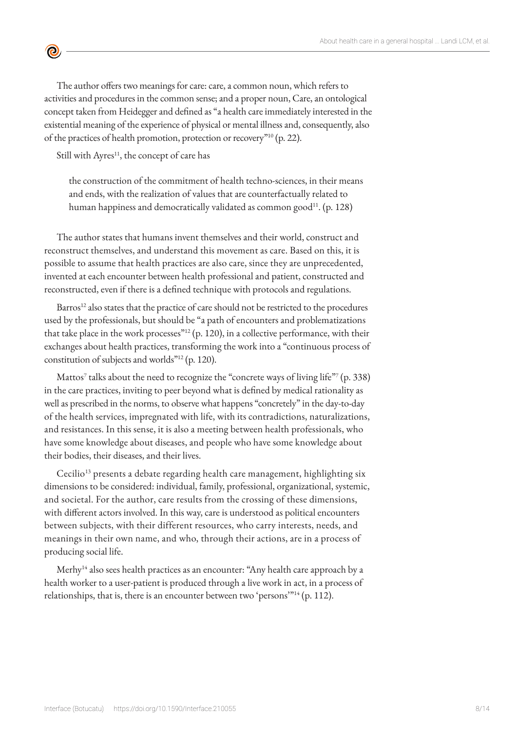The author offers two meanings for care: care, a common noun, which refers to activities and procedures in the common sense; and a proper noun, Care, an ontological concept taken from Heidegger and defined as "a health care immediately interested in the existential meaning of the experience of physical or mental illness and, consequently, also of the practices of health promotion, protection or recovery"<sup>10</sup> (p. 22).

Still with Ayres<sup>11</sup>, the concept of care has

 $\bullet$ 

the construction of the commitment of health techno-sciences, in their means and ends, with the realization of values that are counterfactually related to human happiness and democratically validated as common good<sup>11</sup>. (p. 128)

The author states that humans invent themselves and their world, construct and reconstruct themselves, and understand this movement as care. Based on this, it is possible to assume that health practices are also care, since they are unprecedented, invented at each encounter between health professional and patient, constructed and reconstructed, even if there is a defined technique with protocols and regulations.

Barros<sup>12</sup> also states that the practice of care should not be restricted to the procedures used by the professionals, but should be "a path of encounters and problematizations that take place in the work processes" $^{12}$  (p. 120), in a collective performance, with their exchanges about health practices, transforming the work into a "continuous process of constitution of subjects and worlds"12 (p. 120).

Mattos<sup>7</sup> talks about the need to recognize the "concrete ways of living life"7 (p. 338) in the care practices, inviting to peer beyond what is defined by medical rationality as well as prescribed in the norms, to observe what happens "concretely" in the day-to-day of the health services, impregnated with life, with its contradictions, naturalizations, and resistances. In this sense, it is also a meeting between health professionals, who have some knowledge about diseases, and people who have some knowledge about their bodies, their diseases, and their lives.

Cecilio<sup>13</sup> presents a debate regarding health care management, highlighting six dimensions to be considered: individual, family, professional, organizational, systemic, and societal. For the author, care results from the crossing of these dimensions, with different actors involved. In this way, care is understood as political encounters between subjects, with their different resources, who carry interests, needs, and meanings in their own name, and who, through their actions, are in a process of producing social life.

Merhy<sup>14</sup> also sees health practices as an encounter: "Any health care approach by a health worker to a user-patient is produced through a live work in act, in a process of relationships, that is, there is an encounter between two 'persons'<sup>314</sup> (p. 112).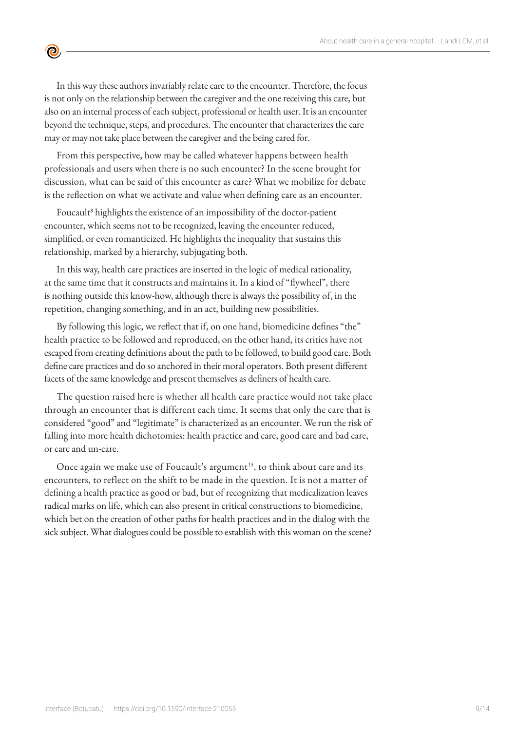In this way these authors invariably relate care to the encounter. Therefore, the focus is not only on the relationship between the caregiver and the one receiving this care, but also on an internal process of each subject, professional or health user. It is an encounter beyond the technique, steps, and procedures. The encounter that characterizes the care may or may not take place between the caregiver and the being cared for.

 $\bullet$ 

From this perspective, how may be called whatever happens between health professionals and users when there is no such encounter? In the scene brought for discussion, what can be said of this encounter as care? What we mobilize for debate is the reflection on what we activate and value when defining care as an encounter.

Foucault<sup>8</sup> highlights the existence of an impossibility of the doctor-patient encounter, which seems not to be recognized, leaving the encounter reduced, simplified, or even romanticized. He highlights the inequality that sustains this relationship, marked by a hierarchy, subjugating both.

In this way, health care practices are inserted in the logic of medical rationality, at the same time that it constructs and maintains it. In a kind of "flywheel", there is nothing outside this know-how, although there is always the possibility of, in the repetition, changing something, and in an act, building new possibilities.

By following this logic, we reflect that if, on one hand, biomedicine defines "the" health practice to be followed and reproduced, on the other hand, its critics have not escaped from creating definitions about the path to be followed, to build good care. Both define care practices and do so anchored in their moral operators. Both present different facets of the same knowledge and present themselves as definers of health care.

The question raised here is whether all health care practice would not take place through an encounter that is different each time. It seems that only the care that is considered "good" and "legitimate" is characterized as an encounter. We run the risk of falling into more health dichotomies: health practice and care, good care and bad care, or care and un-care.

Once again we make use of Foucault's argument<sup>15</sup>, to think about care and its encounters, to reflect on the shift to be made in the question. It is not a matter of defining a health practice as good or bad, but of recognizing that medicalization leaves radical marks on life, which can also present in critical constructions to biomedicine, which bet on the creation of other paths for health practices and in the dialog with the sick subject. What dialogues could be possible to establish with this woman on the scene?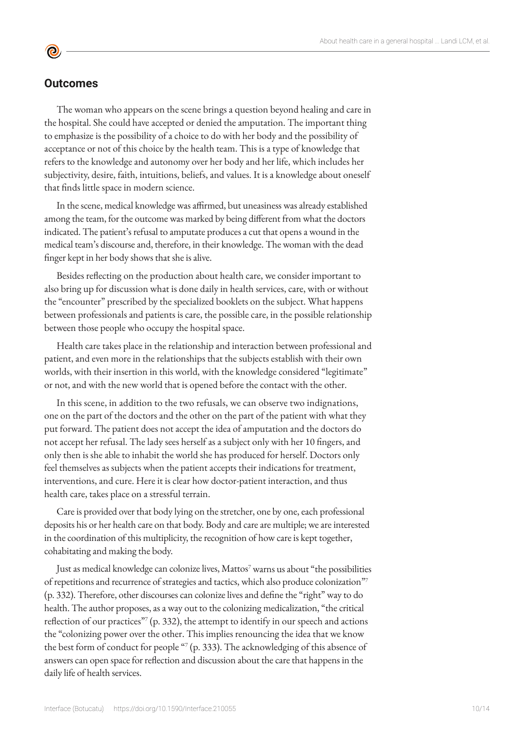## **Outcomes**

<u>ල</u>

The woman who appears on the scene brings a question beyond healing and care in the hospital. She could have accepted or denied the amputation. The important thing to emphasize is the possibility of a choice to do with her body and the possibility of acceptance or not of this choice by the health team. This is a type of knowledge that refers to the knowledge and autonomy over her body and her life, which includes her subjectivity, desire, faith, intuitions, beliefs, and values. It is a knowledge about oneself that finds little space in modern science.

In the scene, medical knowledge was affirmed, but uneasiness was already established among the team, for the outcome was marked by being different from what the doctors indicated. The patient's refusal to amputate produces a cut that opens a wound in the medical team's discourse and, therefore, in their knowledge. The woman with the dead finger kept in her body shows that she is alive.

Besides reflecting on the production about health care, we consider important to also bring up for discussion what is done daily in health services, care, with or without the "encounter" prescribed by the specialized booklets on the subject. What happens between professionals and patients is care, the possible care, in the possible relationship between those people who occupy the hospital space.

Health care takes place in the relationship and interaction between professional and patient, and even more in the relationships that the subjects establish with their own worlds, with their insertion in this world, with the knowledge considered "legitimate" or not, and with the new world that is opened before the contact with the other.

In this scene, in addition to the two refusals, we can observe two indignations, one on the part of the doctors and the other on the part of the patient with what they put forward. The patient does not accept the idea of amputation and the doctors do not accept her refusal. The lady sees herself as a subject only with her 10 fingers, and only then is she able to inhabit the world she has produced for herself. Doctors only feel themselves as subjects when the patient accepts their indications for treatment, interventions, and cure. Here it is clear how doctor-patient interaction, and thus health care, takes place on a stressful terrain.

Care is provided over that body lying on the stretcher, one by one, each professional deposits his or her health care on that body. Body and care are multiple; we are interested in the coordination of this multiplicity, the recognition of how care is kept together, cohabitating and making the body.

Just as medical knowledge can colonize lives, Mattos<sup>7</sup> warns us about "the possibilities of repetitions and recurrence of strategies and tactics, which also produce colonization"7 (p. 332). Therefore, other discourses can colonize lives and define the "right" way to do health. The author proposes, as a way out to the colonizing medicalization, "the critical reflection of our practices" $($ p. 332), the attempt to identify in our speech and actions the "colonizing power over the other. This implies renouncing the idea that we know the best form of conduct for people "7 (p. 333). The acknowledging of this absence of answers can open space for reflection and discussion about the care that happens in the daily life of health services.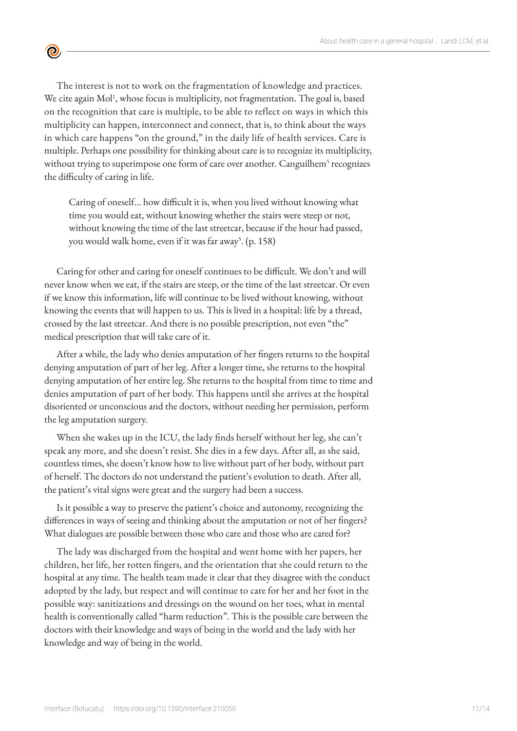The interest is not to work on the fragmentation of knowledge and practices. We cite again Mol<sup>1</sup>, whose focus is multiplicity, not fragmentation. The goal is, based on the recognition that care is multiple, to be able to reflect on ways in which this multiplicity can happen, interconnect and connect, that is, to think about the ways in which care happens "on the ground," in the daily life of health services. Care is multiple. Perhaps one possibility for thinking about care is to recognize its multiplicity, without trying to superimpose one form of care over another. Canguilhem<sup>5</sup> recognizes the difficulty of caring in life.

 $\bullet$ 

Caring of oneself... how difficult it is, when you lived without knowing what time you would eat, without knowing whether the stairs were steep or not, without knowing the time of the last streetcar, because if the hour had passed, you would walk home, even if it was far away<sup>5</sup>. (p. 158)

Caring for other and caring for oneself continues to be difficult. We don't and will never know when we eat, if the stairs are steep, or the time of the last streetcar. Or even if we know this information, life will continue to be lived without knowing, without knowing the events that will happen to us. This is lived in a hospital: life by a thread, crossed by the last streetcar. And there is no possible prescription, not even "the" medical prescription that will take care of it.

After a while, the lady who denies amputation of her fingers returns to the hospital denying amputation of part of her leg. After a longer time, she returns to the hospital denying amputation of her entire leg. She returns to the hospital from time to time and denies amputation of part of her body. This happens until she arrives at the hospital disoriented or unconscious and the doctors, without needing her permission, perform the leg amputation surgery.

When she wakes up in the ICU, the lady finds herself without her leg, she can't speak any more, and she doesn't resist. She dies in a few days. After all, as she said, countless times, she doesn't know how to live without part of her body, without part of herself. The doctors do not understand the patient's evolution to death. After all, the patient's vital signs were great and the surgery had been a success.

Is it possible a way to preserve the patient's choice and autonomy, recognizing the differences in ways of seeing and thinking about the amputation or not of her fingers? What dialogues are possible between those who care and those who are cared for?

The lady was discharged from the hospital and went home with her papers, her children, her life, her rotten fingers, and the orientation that she could return to the hospital at any time. The health team made it clear that they disagree with the conduct adopted by the lady, but respect and will continue to care for her and her foot in the possible way: sanitizations and dressings on the wound on her toes, what in mental health is conventionally called "harm reduction". This is the possible care between the doctors with their knowledge and ways of being in the world and the lady with her knowledge and way of being in the world.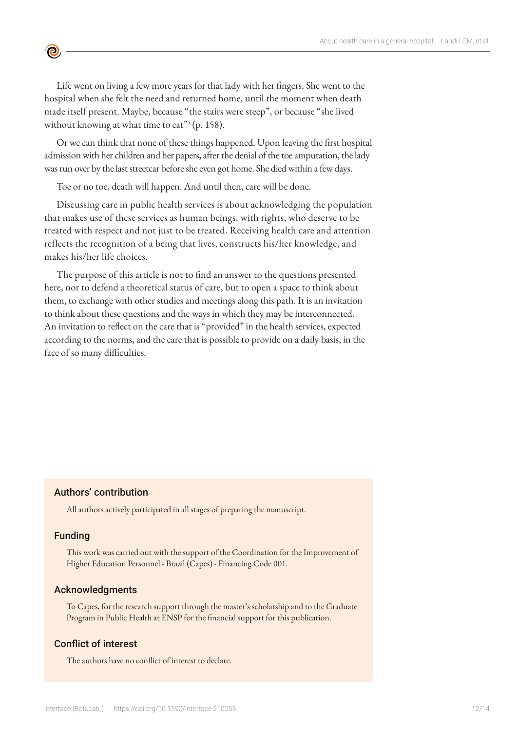Life went on living a few more years for that lady with her fingers. She went to the hospital when she felt the need and returned home, until the moment when death made itself present. Maybe, because "the stairs were steep", or because "she lived without knowing at what time to eat"<sup>5</sup> (p. 158).

Or we can think that none of these things happened. Upon leaving the first hospital admission with her children and her papers, after the denial of the toe amputation, the lady was run over by the last streetcar before she even got home. She died within a few days.

Toe or no toe, death will happen. And until then, care will be done.

Discussing care in public health services is about acknowledging the population that makes use of these services as human beings, with rights, who deserve to be treated with respect and not just to be treated. Receiving health care and attention reflects the recognition of a being that lives, constructs his/her knowledge, and makes his/her life choices.

The purpose of this article is not to find an answer to the questions presented here, nor to defend a theoretical status of care, but to open a space to think about them, to exchange with other studies and meetings along this path. It is an invitation to think about these questions and the ways in which they may be interconnected. An invitation to reflect on the care that is "provided" in the health services, expected according to the norms, and the care that is possible to provide on a daily basis, in the face of so many difficulties.

### Authors' contribution

All authors actively participated in all stages of preparing the manuscript.

#### Funding

**©** 

This work was carried out with the support of the Coordination for the Improvement of Higher Education Personnel - Brazil (Capes) - Financing Code 001.

#### Acknowledgments

To Capes, for the research support through the master's scholarship and to the Graduate Program in Public Health at ENSP for the financial support for this publication.

### Conflict of interest

The authors have no conflict of interest to declare.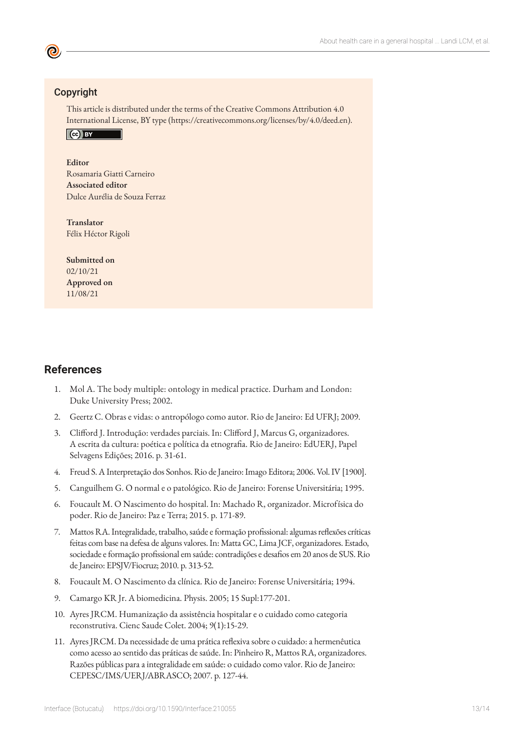## Copyright

This article is distributed under the terms of the Creative Commons Attribution 4.0 International License, BY type (https://creativecommons.org/licenses/by/4.0/deed.en).



#### **Editor**

Rosamaria Giatti Carneiro **Associated editor** Dulce Aurélia de Souza Ferraz

**Translator** Félix Héctor Rigoli

**Submitted on** 02/10/21 **Approved on** 11/08/21

## **References**

- 1. Mol A. The body multiple: ontology in medical practice. Durham and London: Duke University Press; 2002.
- 2. Geertz C. Obras e vidas: o antropólogo como autor. Rio de Janeiro: Ed UFRJ; 2009.
- 3. Clifford J. Introdução: verdades parciais. In: Clifford J, Marcus G, organizadores. A escrita da cultura: poética e política da etnografia. Rio de Janeiro: EdUERJ, Papel Selvagens Edições; 2016. p. 31-61.
- 4. Freud S. A Interpretação dos Sonhos. Rio de Janeiro: Imago Editora; 2006. Vol. IV [1900].
- 5. Canguilhem G. O normal e o patológico. Rio de Janeiro: Forense Universitária; 1995.
- 6. Foucault M. O Nascimento do hospital. In: Machado R, organizador. Microfísica do poder. Rio de Janeiro: Paz e Terra; 2015. p. 171-89.
- 7. Mattos RA. Integralidade, trabalho, saúde e formação profissional: algumas reflexões críticas feitas com base na defesa de alguns valores. In: Matta GC, Lima JCF, organizadores. Estado, sociedade e formação profissional em saúde: contradições e desafios em 20 anos de SUS. Rio de Janeiro: EPSJV/Fiocruz; 2010. p. 313-52.
- 8. Foucault M. O Nascimento da clínica. Rio de Janeiro: Forense Universitária; 1994.
- 9. Camargo KR Jr. A biomedicina. Physis. 2005; 15 Supl:177-201.
- 10. Ayres JRCM. Humanização da assistência hospitalar e o cuidado como categoria reconstrutiva. Cienc Saude Colet. 2004; 9(1):15-29.
- 11. Ayres JRCM. Da necessidade de uma prática reflexiva sobre o cuidado: a hermenêutica como acesso ao sentido das práticas de saúde. In: Pinheiro R, Mattos RA, organizadores. Razões públicas para a integralidade em saúde: o cuidado como valor. Rio de Janeiro: CEPESC/IMS/UERJ/ABRASCO; 2007. p. 127-44.